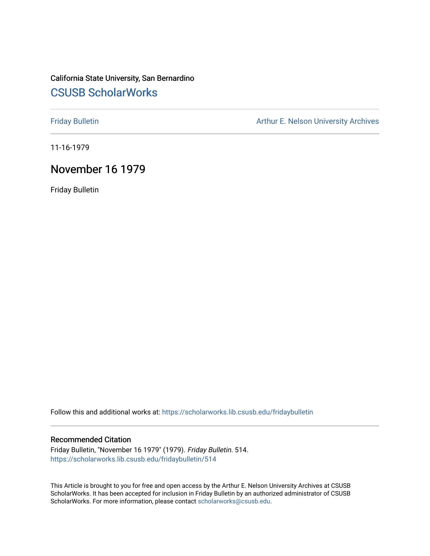## California State University, San Bernardino [CSUSB ScholarWorks](https://scholarworks.lib.csusb.edu/)

[Friday Bulletin](https://scholarworks.lib.csusb.edu/fridaybulletin) **Arthur E. Nelson University Archives** Arthur E. Nelson University Archives

11-16-1979

## November 16 1979

Friday Bulletin

Follow this and additional works at: [https://scholarworks.lib.csusb.edu/fridaybulletin](https://scholarworks.lib.csusb.edu/fridaybulletin?utm_source=scholarworks.lib.csusb.edu%2Ffridaybulletin%2F514&utm_medium=PDF&utm_campaign=PDFCoverPages)

### Recommended Citation

Friday Bulletin, "November 16 1979" (1979). Friday Bulletin. 514. [https://scholarworks.lib.csusb.edu/fridaybulletin/514](https://scholarworks.lib.csusb.edu/fridaybulletin/514?utm_source=scholarworks.lib.csusb.edu%2Ffridaybulletin%2F514&utm_medium=PDF&utm_campaign=PDFCoverPages)

This Article is brought to you for free and open access by the Arthur E. Nelson University Archives at CSUSB ScholarWorks. It has been accepted for inclusion in Friday Bulletin by an authorized administrator of CSUSB ScholarWorks. For more information, please contact [scholarworks@csusb.edu.](mailto:scholarworks@csusb.edu)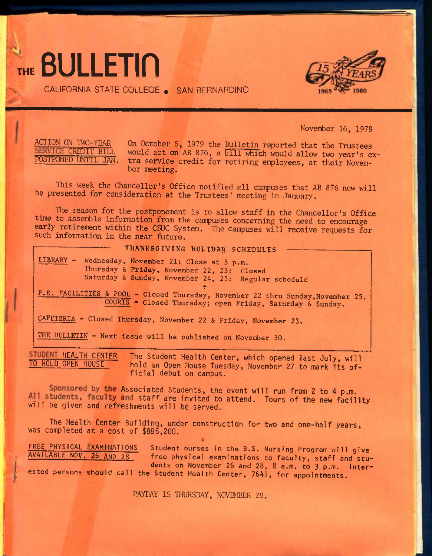

CALIFORNIA STATE COLLEGE • SAN BERNARDINO



November 16, 1979

t

ACTION ON TWO-YEAR On October 5, 1979 the Bulletin reported that the Trustees<br>SERVICE CREDIT BILL would act on AB 876, a bill which would allow two yearls of SERVICE CREDIT BILL would act on AB 876, a bill which would allow two year's ex-<br>POSTPONED UNTIL JAN, tra service credit for retiring employees, at their Novemtra service credit for retiring employees, at their November meeting.

This week the Chancellor's Office notified all campuses that AB 876 now will be presented for consideration at the Trustees' meeting in January.

The reason for the postponement is to allow staff in the Chancellor's Office time to assemble information from the campuses concerning the need to encourage early retirement within the CSUC System. The campuses will receive requests for such information in the near future.

### THANKSGIVING HOLIDAY SCHEDULES

**LIBRARY - Wednesday, November 21: Close at 5 p.m. Thursday & Friday, November 22, 23: Closed Saturday & Sunday, November 24, 25: Regular schedule +** 

**P.E. FACILITIES & POOL - Closed Thursday, November 22 thru Sunday,November 25. COURTS •» Closed Thursday; open Friday, Saturday & Sunday.** 

**CAFETERIA - Closed Thursday, November 22 & Friday, November 23.** 

**THE BULLETIN - Next issue will be published on November 30.** 

**STUDENT HEALTH CENTER** The Student Health Center, which opened last July, will <br>
TO HOLD OPEN HOUSE bold an Open House Tuesday, November 27 to mark its of hold an Open House Tuesday, November 27 to mark its of**ficial debut on campus.** 

Sponsored by the Associated Students, the event will run from 2 to 4 p.m. All students, faculty and staff are invited to attend. Tours of the new facility **will be given and refreshments will be served.** 

**The Health Center Building, under construction for two and one-half years, was completed at a cost of \$885,200.** 

FREE PHYSICAL EXAMINATIONS Student nurses in the B.S. Nursing Program will give AVAILABLE NOV. 26 AND 28 free physical examinations to faculty, staff and students on November 26 and 28, 8 a.m. to 3 p.m. Interested persons should call the Student Health Center, 7641, for appointments.

**+** 

PAYDAY IS THURSDAY, NOVEMBER 29.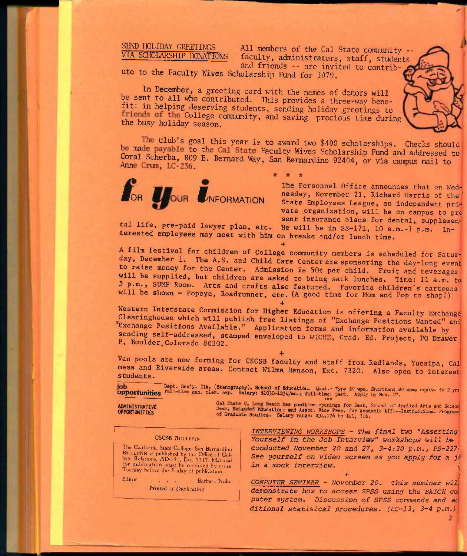SEND HOLIDAY GREETINGS VIA SCHOLARSHIP DONATIONS

All members of the Cal State community faculty, administrators, staff, students and friends -- are invited to contrib-

ute to the Faculty Wives Scholarship Fund for 1979.

In December, a greeting card with the names of donors will be sent to all who contributed. This provides a three-way benetit: in helping deserving students, sending holiday greetings to friends of the College community, and saving precious time during the busy holiday season.

The club's goal this year is to award two \$400 scholarships. Checks should be made payable to the Cal State Faculty Wives Scholarship Fund and addressed to Coral Scherba, 809 E. Bernard Way, San Bernardino 92404, or via campus mail to Anne Crum, LC-236.

**\*\*** 



**The Personnel Office announces that on Wednesday, November 21, Richard Harris of the' State Employees League, an independent pri"**  vate organization, will be on campus to pre sent insurance plans for dental, supplemen-**.** sent insurance plans for dental, supplemented in the sent insurance plans for dental, supplemented **tal life, pre-paid lawyer plan, etc.** He will be in SS-171, 10 a.m.-1 p.m. In-

**terested employees may meet with him on breaks and/or lunch time.** 

**+ A film festival for children of College community members is scheduled for Saturay, December 1. The A.S. and Child Care Center are sponsoring the day-long event to raise money for the Center. Admission is 50c per child. Fruit and beverages will be supplied, but children are asked to bring sack lunches. Time: 11 a.m. tob p.m., SW Room. Arts and crafts also featured. Favorite children's cartoons will be shown - Popeye, Roadrunner, etc. (A good time for Mom and Pop to shop!)** 

**+ Western Interstate Commission for Higher Education is offering a Faculty Exchange Clearinghouse which will publish free listings of "Exchange Positions Wanted" and "Exchange Positions Available." Application forms and information available by sending self-addressed, stamped enveloped to WICHE, Grad. Ed. Project, PO Drawer P, Boulder,Colorado 80302.** 

**+ Van pools are now forming for CSCSB faculty and Staff from Redlands, Yucalpa, Cal mesa and Riverside areas. Contact Wilma Hanson, Ext. 7320. Also open to interest students.** 

Dept. Sec'y. IIA, (Stenography), School of Education. Qual.: Type 50 wpm, Shorthand 80 wpm, equiv. to 2 yrs iob **Opportunities** gen. cler. exp. Salary: \$1030-1234/mo.; full-time, perm. Apply by Nov. 27.

OPPORTUNITIES<br>ADMINISTRATIVE CHARGE SELECT CALCULATE THE SEARCH AND ASSOCIATE THE SEARCH OF PERSON AND ADMINISTRATIVE CALCULATE DEAN, SCHOOL OF Applied Arts and Science<br>OPPORTUNITIES Dean, Extended Education; and Assoc. Vi

#### **CSCSB Bulletin**

The California State College. San Bernardino BULLETIN is published by the Office of Col-<br>lege Relations, AD-151, Ext. 7217. Material<br>for publication must be received by noon Tuesday before the Friday of publication-

Editor . . . . . . . . Barbara Nolte Printed at Duplicating

*INTERVIEWING WORKSHOPS - The final two* **"Asserting;**  *Yourself in the Job Interview" workshops will be conducted November 20 and 27, 3-4:30 p.m,, PS-227'*  See yourself on video screen as you apply for a jo *in a mock interview. ^* 

*+* <sup>t</sup>

2

*COMPUTER SEMINAR - November 20, This seminar wil demonstrate how to access SPSS using the BATCH ca puter* **system.** *Discussion of SPSS commands and ac ditional statisical procedures. (LC-13, 3-4 p.m.)*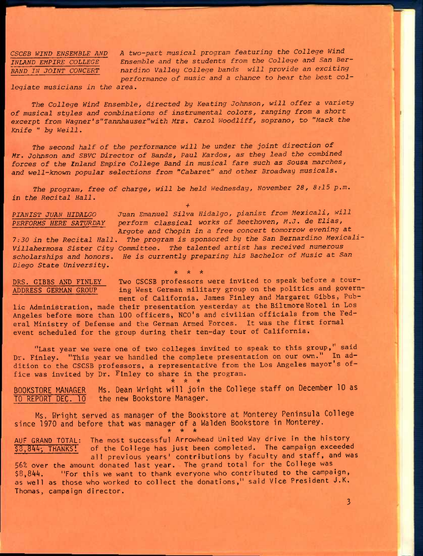CSCSB WIND ENSEMBLE AND A two-part musical program featuring the College Wind *INLAND EMPIRE COLLEGE Ensemble and the students from the College and San Ber-*BAND IN JOINT CONCERT nardino Valley College bands will provide an exciting *performance of music and a chance to hear the best col-*

*legiate musicians in the area.* 

The College Wind Ensemble, directed by Keating Johnson, will offer a variety *of musical styles and combinations of instrumental colors, ranging from* **a short**  excerpt from Wagner's"Tannhauser"with Mrs. Carol Woodliff, soprano, to "Mack the *Knife " by Weill,* 

The second half of the performance will be under the joint direction of *Mr, Johnson and SBVC Director of Bands, Paul Kardos, as they lead the combined forces of the Inland Empire College Band in musical* **f^are such as Sousa** *marches, and well-known popular selections from "Cabaret" and other Broadway musicals.* 

*The program, free of charge, will be held Wednesday, November 28, 8:15 p.m, in the Recital Hall,* 

**+**  *PIANIST JUAN HIDALGO Juan Emanuel Silva Hidalgo, pianist from Mexicali, will PERFORMS HERE SATURDAY perform classical works of Beethoven, M,J. de Elias, Argote and Chopin in a free concert tomorrow evening at* 

*7:30 in the Recital Hall. The program is sponsored by the San Bernardino Mexicali-Villahermosa Sister* **City** *Committee, The talented artist has received numerous*  scholarships and honors. He is currently preparing his Bachelor of Music at San *Diego State* **University.** 

 $+ +$ 

**DRS. GIBBS AND FINLEY Two CSCSB professors were invited to speak before a tour-ADDRESS GERMAK GROUP ing West German military group on the politics and government of California. James Finley and Margaret Gibbs, Public Administration, made their presentation yesterday at the BiltmoreHotel in Los Angeles before more than 100 officers, NCO's and civilian officials from the Fed-**

**eral Ministry of Defense and the German Armed Forces. It was the first formal event scheduled for the group during their ten-day tour of California.** 

**"Last year we were one of two colleges invited to speak to this group,' said Dr. Finley. "This year we handled the complete presentation on our own." In addition to the CSCSB professors, a representative from the Los Angeles mayor's office was invited by Dr. Finley to share in the program.**   $\star$   $\star$   $\star$ 

**BOOKSTORE MANAGER Ms. Dean Wright will join the College staff on December 10 as TO REPORT DEC. 10 the new Bookstore Manager.** 

**Ms. Wright served as manager of the Bookstore at Monterey Peninsula College since 1970 and before that was manager of a Walden Bookstore in Monterey. AAA** 

AUF GRAND TOTAL: The most successful Arrowhead United Way drive in the history<br>\$3,844, THANKS! of the College has just been completed. The campaign exceeded of the College has just been completed. The campaign exceeded all previous years' contributions by faculty and staff, and was 56% over the amount donated last year. The grand total for the College was \$8,844. "For this we want to thank everyone who contributed to the campaign, as well as those who worked to collect the donations," said Vice President J.K, Thomas, campaign director.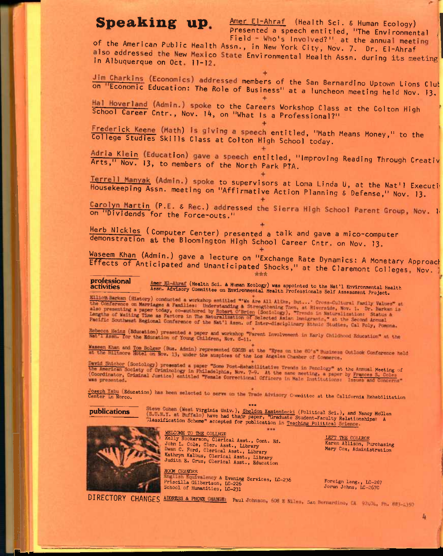# Speaking up.

Amer El-Ahraf (Health Sci. & Human Ecology) presented a speech entitled, "The Environmental

Field - Who's Involved?" at the annual meeting of the American Public Health Assn., in New York City, Nov. 7. Dr. El-Ahraf also addressed the New Mexico State Environmental Health Assn. during its meeting in Albuquerque on Oct. 11-12.

Jim Charkins (Economics) addressed members of the San Bernardino Uptown Lions Club on "Economic Education: The Role of Business" at a luncheon meeting held Nov. 13.

Hal Hoverland (Admin.) spoke to the Careers Workshop Class at the Colton High School Career Cntr., Nov. 14, on "What Is a Professional?"

Frederick Keene (Math) is giving a speech entitled, "Math Means Money," to the College Studies Skills Class at Colton High School today.

Adria Klein (Education) gave a speech entitled, "Improving Reading Through Creativ Arts," Nov. 13, to members of the North Park PTA.

Terrell Manyak (Admin.) spoke to supervisors at Loma Linda U, at the Nat'l Executi Housekeeping Assn. meeting on "Affirmative Action Planning & Defense," Nov. 13.

Carolyn Martin (P.E. & Rec.) addressed the Sierra High School Parent Group, Nov. 1 on "Dividends for the Force-outs."

Herb Nickles (Computer Center) presented a talk and gave a mico-computer demonstration at the Bloomington High School Career Cntr. on Nov. 13.

Waseem Khan (Admin.) gave a lecture on "Exchange Rate Dynamics: A Monetary Approach Effects of Anticipated and Unanticipated Shocks," at the Claremont Colleges, Nov.

professional Amer El-Ahraf (Health Sci. & Human Ecology) was appointed to the Nat'l Environmental Health<br>Assn. Advisory Committee on Environmental Health Professionals Self Assessment Project. activities

Elliot Barkan (History) conducted a workshop entitled "'We Are All Alike, But ...' Cross-Cultural Family Values" at the Conference on Marriages & Families: Understanding & Strengthening Then, at Riverside, Nov. 1. Dr. Barkan is<br>also presenting a paper today, co-suthored by Robert C'Brien (Sociology). "Trends in Naturalization: Status &<br>

Rebeccs Heinz (Education) presented a paper and workshop "Parent Involvement in Early Childhood Education" at the Net'l Assn. for the Education of Young Children, Nov. 8-11.

Wassen Khan and Tom Bolger (Bus. Admin) represented CSOSS at the "Eyes on the 80's" Business Outlook Conference held<br>at the Biltmore Hotel on Nov. 13, under the auspices of the Los Angeles Chamber of Commerce.

David Shicher (Sociology) presented a paper "Some Post-Rehabilitative Trends in Penclogy" at the Annual Meeting of<br>the American Society of Criminelogy in Philadelphia, Nov. 7-9. At the same meeting, a paper by Frances S. C

Comeph Tabu (Education) has been melected to serve on the Trade Advisory Committee at the California Rehabilitation

**publications** 

 $7 + 4$ Steve Cohen (West Virginia Univ ), Sheldon Kamienicki (Political Sci.), and Nancy McGlen (S.U.M.T. at Buffalo) have had their paper, "Graduate Student-Faculty Relationships: A Classification Scheme" accepted for publicatio



WELCOME TO THE COLLEGE Kelly Rookerson, Clerical Asst., Cont. Ed. John L. Cole, Cler. Asst., Library Dwan C. Ford, Clerical Asst., Library Kathryn Kalbus, Clerical Asst., Library<br>Judith E. Cruz, Clerical Asst., Education

**ROOM CHANGES** English Equivalency & Evening Services, LC-236 Priscilla Gilbertson, LC-226<br>School of Humanities, LC-231

LEFT THE COLLEGE Karen Allison, Purchasing Mary Cox, Administration

Foreign Lang., LC-267<br>Jorun Johns, LC-267C

DIRECTORY CHANGES ADDRESS & PHONE CHANGE: Paul Johnson, 608 E Niles, San Bernardino, CA. 92404, Ph. 883-2350